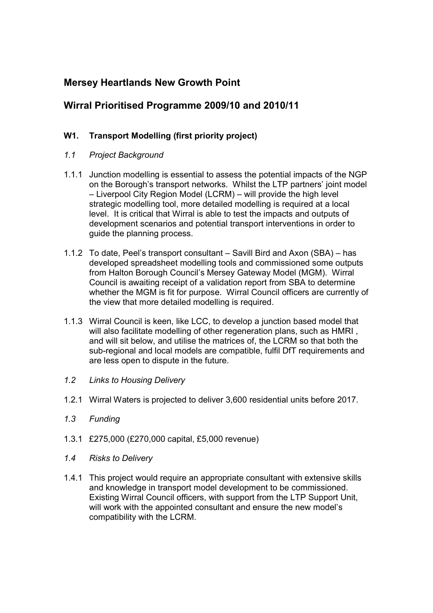## Mersey Heartlands New Growth Point

## Wirral Prioritised Programme 2009/10 and 2010/11

## W1. Transport Modelling (first priority project)

### 1.1 Project Background

- 1.1.1 Junction modelling is essential to assess the potential impacts of the NGP on the Borough's transport networks. Whilst the LTP partners' joint model – Liverpool City Region Model (LCRM) – will provide the high level strategic modelling tool, more detailed modelling is required at a local level. It is critical that Wirral is able to test the impacts and outputs of development scenarios and potential transport interventions in order to guide the planning process.
- 1.1.2 To date, Peel's transport consultant Savill Bird and Axon (SBA) has developed spreadsheet modelling tools and commissioned some outputs from Halton Borough Council's Mersey Gateway Model (MGM). Wirral Council is awaiting receipt of a validation report from SBA to determine whether the MGM is fit for purpose. Wirral Council officers are currently of the view that more detailed modelling is required.
- 1.1.3 Wirral Council is keen, like LCC, to develop a junction based model that will also facilitate modelling of other regeneration plans, such as HMRI , and will sit below, and utilise the matrices of, the LCRM so that both the sub-regional and local models are compatible, fulfil DfT requirements and are less open to dispute in the future.
- 1.2 Links to Housing Delivery
- 1.2.1 Wirral Waters is projected to deliver 3,600 residential units before 2017.
- 1.3 Funding
- 1.3.1 £275,000 (£270,000 capital, £5,000 revenue)
- 1.4 Risks to Delivery
- 1.4.1 This project would require an appropriate consultant with extensive skills and knowledge in transport model development to be commissioned. Existing Wirral Council officers, with support from the LTP Support Unit, will work with the appointed consultant and ensure the new model's compatibility with the LCRM.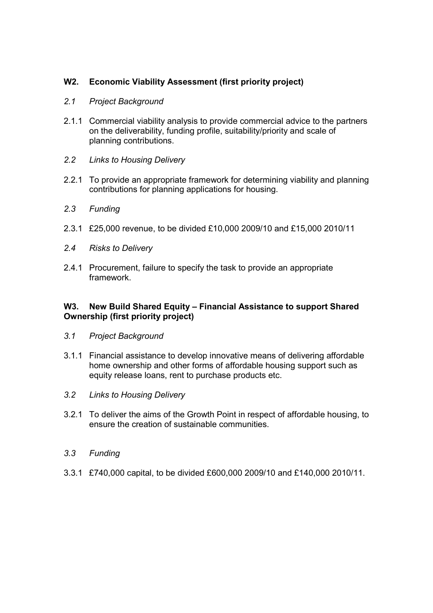### W2. Economic Viability Assessment (first priority project)

#### 2.1 Project Background

- 2.1.1 Commercial viability analysis to provide commercial advice to the partners on the deliverability, funding profile, suitability/priority and scale of planning contributions.
- 2.2 Links to Housing Delivery
- 2.2.1 To provide an appropriate framework for determining viability and planning contributions for planning applications for housing.
- 2.3 Funding
- 2.3.1 £25,000 revenue, to be divided £10,000 2009/10 and £15,000 2010/11
- 2.4 Risks to Delivery
- 2.4.1 Procurement, failure to specify the task to provide an appropriate framework.

#### W3. New Build Shared Equity – Financial Assistance to support Shared Ownership (first priority project)

- 3.1 Project Background
- 3.1.1 Financial assistance to develop innovative means of delivering affordable home ownership and other forms of affordable housing support such as equity release loans, rent to purchase products etc.
- 3.2 Links to Housing Delivery
- 3.2.1 To deliver the aims of the Growth Point in respect of affordable housing, to ensure the creation of sustainable communities.
- 3.3 Funding
- 3.3.1 £740,000 capital, to be divided £600,000 2009/10 and £140,000 2010/11.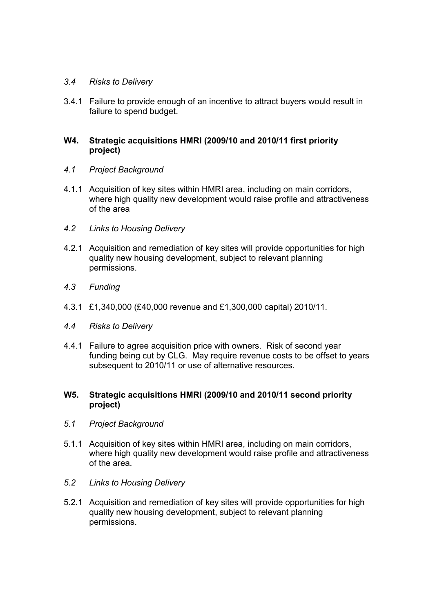#### 3.4 Risks to Delivery

3.4.1 Failure to provide enough of an incentive to attract buyers would result in failure to spend budget.

#### W4. Strategic acquisitions HMRI (2009/10 and 2010/11 first priority project)

- 4.1 Project Background
- 4.1.1 Acquisition of key sites within HMRI area, including on main corridors, where high quality new development would raise profile and attractiveness of the area
- 4.2 Links to Housing Delivery
- 4.2.1 Acquisition and remediation of key sites will provide opportunities for high quality new housing development, subject to relevant planning permissions.
- 4.3 Funding
- 4.3.1 £1,340,000 (£40,000 revenue and £1,300,000 capital) 2010/11.
- 4.4 Risks to Delivery
- 4.4.1 Failure to agree acquisition price with owners. Risk of second year funding being cut by CLG. May require revenue costs to be offset to years subsequent to 2010/11 or use of alternative resources.

#### W5. Strategic acquisitions HMRI (2009/10 and 2010/11 second priority project)

- 5.1 Project Background
- 5.1.1 Acquisition of key sites within HMRI area, including on main corridors, where high quality new development would raise profile and attractiveness of the area.
- 5.2 Links to Housing Delivery
- 5.2.1 Acquisition and remediation of key sites will provide opportunities for high quality new housing development, subject to relevant planning permissions.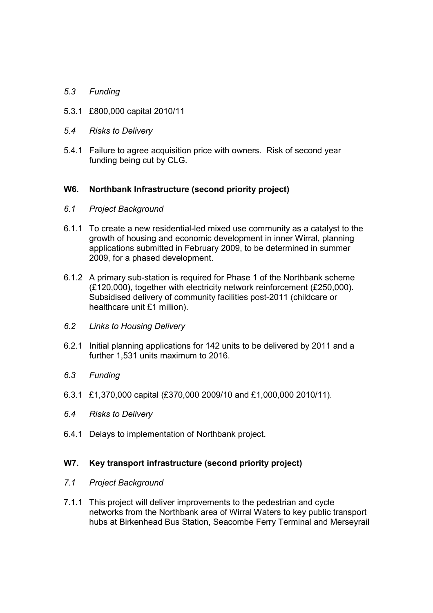### 5.3 Funding

- 5.3.1 £800,000 capital 2010/11
- 5.4 Risks to Delivery
- 5.4.1 Failure to agree acquisition price with owners. Risk of second year funding being cut by CLG.

#### W6. Northbank Infrastructure (second priority project)

- 6.1 Project Background
- 6.1.1 To create a new residential-led mixed use community as a catalyst to the growth of housing and economic development in inner Wirral, planning applications submitted in February 2009, to be determined in summer 2009, for a phased development.
- 6.1.2 A primary sub-station is required for Phase 1 of the Northbank scheme (£120,000), together with electricity network reinforcement (£250,000). Subsidised delivery of community facilities post-2011 (childcare or healthcare unit £1 million).
- 6.2 Links to Housing Delivery
- 6.2.1 Initial planning applications for 142 units to be delivered by 2011 and a further 1,531 units maximum to 2016.
- 6.3 Funding
- 6.3.1 £1,370,000 capital (£370,000 2009/10 and £1,000,000 2010/11).
- 6.4 Risks to Delivery
- 6.4.1 Delays to implementation of Northbank project.

#### W7. Key transport infrastructure (second priority project)

#### 7.1 Project Background

7.1.1 This project will deliver improvements to the pedestrian and cycle networks from the Northbank area of Wirral Waters to key public transport hubs at Birkenhead Bus Station, Seacombe Ferry Terminal and Merseyrail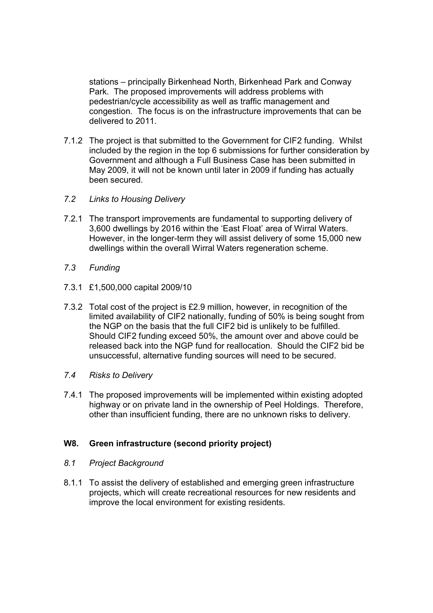stations – principally Birkenhead North, Birkenhead Park and Conway Park. The proposed improvements will address problems with pedestrian/cycle accessibility as well as traffic management and congestion. The focus is on the infrastructure improvements that can be delivered to 2011.

- 7.1.2 The project is that submitted to the Government for CIF2 funding. Whilst included by the region in the top 6 submissions for further consideration by Government and although a Full Business Case has been submitted in May 2009, it will not be known until later in 2009 if funding has actually been secured.
- 7.2 Links to Housing Delivery
- 7.2.1 The transport improvements are fundamental to supporting delivery of 3,600 dwellings by 2016 within the 'East Float' area of Wirral Waters. However, in the longer-term they will assist delivery of some 15,000 new dwellings within the overall Wirral Waters regeneration scheme.
- 7.3 Funding
- 7.3.1 £1,500,000 capital 2009/10
- 7.3.2 Total cost of the project is £2.9 million, however, in recognition of the limited availability of CIF2 nationally, funding of 50% is being sought from the NGP on the basis that the full CIF2 bid is unlikely to be fulfilled. Should CIF2 funding exceed 50%, the amount over and above could be released back into the NGP fund for reallocation. Should the CIF2 bid be unsuccessful, alternative funding sources will need to be secured.
- 7.4 Risks to Delivery
- 7.4.1 The proposed improvements will be implemented within existing adopted highway or on private land in the ownership of Peel Holdings. Therefore, other than insufficient funding, there are no unknown risks to delivery.

#### W8. Green infrastructure (second priority project)

- 8.1 Project Background
- 8.1.1 To assist the delivery of established and emerging green infrastructure projects, which will create recreational resources for new residents and improve the local environment for existing residents.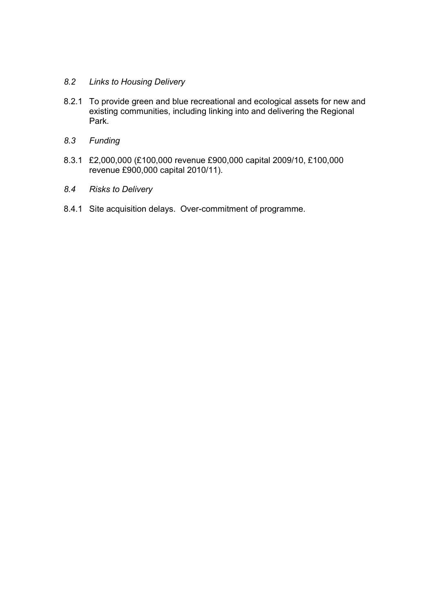#### 8.2 Links to Housing Delivery

- 8.2.1 To provide green and blue recreational and ecological assets for new and existing communities, including linking into and delivering the Regional Park.
- 8.3 Funding
- 8.3.1 £2,000,000 (£100,000 revenue £900,000 capital 2009/10, £100,000 revenue £900,000 capital 2010/11).
- 8.4 Risks to Delivery
- 8.4.1 Site acquisition delays. Over-commitment of programme.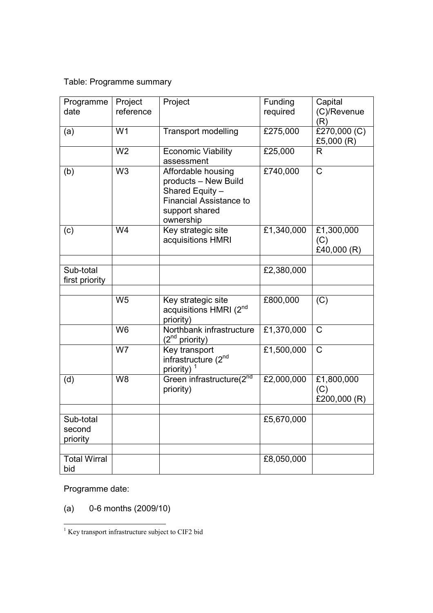## Table: Programme summary

| Programme                  | Project        | Project                                                                                                                        | Funding    | Capital                           |
|----------------------------|----------------|--------------------------------------------------------------------------------------------------------------------------------|------------|-----------------------------------|
| date                       | reference      |                                                                                                                                | required   | (C)/Revenue<br>(R)                |
| (a)                        | W <sub>1</sub> | <b>Transport modelling</b>                                                                                                     | £275,000   | £270,000 (C)<br>£5,000 $(R)$      |
|                            | W <sub>2</sub> | <b>Economic Viability</b><br>assessment                                                                                        | £25,000    | R                                 |
| (b)                        | W <sub>3</sub> | Affordable housing<br>products - New Build<br>Shared Equity -<br><b>Financial Assistance to</b><br>support shared<br>ownership | £740,000   | $\overline{C}$                    |
| (c)                        | W4             | Key strategic site<br>acquisitions HMRI                                                                                        | £1,340,000 | £1,300,000<br>(C)<br>£40,000 (R)  |
| Sub-total                  |                |                                                                                                                                | £2,380,000 |                                   |
| first priority             |                |                                                                                                                                |            |                                   |
|                            | W <sub>5</sub> | Key strategic site<br>acquisitions HMRI (2 <sup>nd</sup><br>priority)                                                          | £800,000   | (C)                               |
|                            | W <sub>6</sub> | Northbank infrastructure<br>(2 <sup>nd</sup> priority)                                                                         | £1,370,000 | $\mathsf C$                       |
|                            | W7             | Key transport<br>infrastructure (2nd<br>priority)                                                                              | £1,500,000 | $\mathsf C$                       |
| (d)                        | W <sub>8</sub> | Green infrastructure(2nd<br>priority)                                                                                          | £2,000,000 | £1,800,000<br>(C)<br>£200,000 (R) |
| Sub-total                  |                |                                                                                                                                | £5,670,000 |                                   |
| second<br>priority         |                |                                                                                                                                |            |                                   |
|                            |                |                                                                                                                                |            |                                   |
| <b>Total Wirral</b><br>bid |                |                                                                                                                                | £8,050,000 |                                   |

Programme date:

# (a) 0-6 months (2009/10)

 1 Key transport infrastructure subject to CIF2 bid